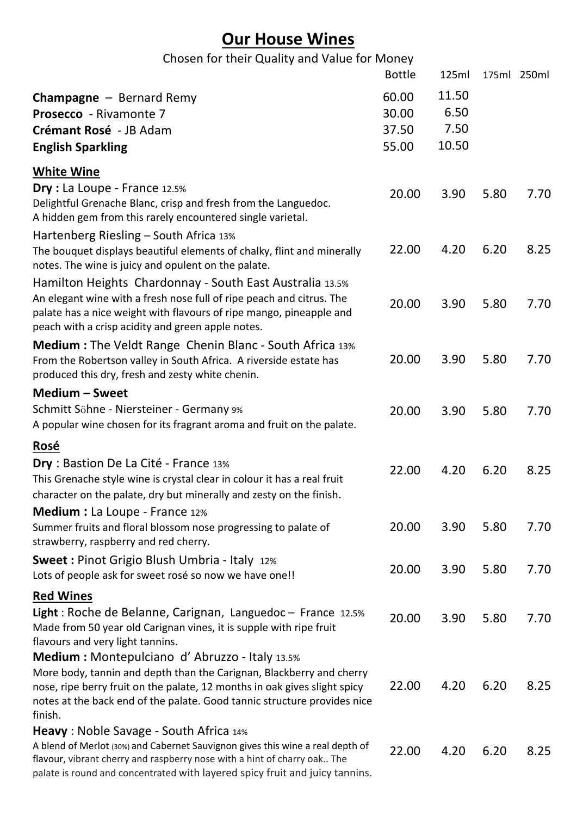# **Our House Wines**

| Chosen for their Quality and Value for Money |  |  |  |
|----------------------------------------------|--|--|--|
|----------------------------------------------|--|--|--|

|                                                                                                                                                                                                                                                                                                  | <b>Bottle</b>                    | 125ml                          |      | 175ml 250ml |
|--------------------------------------------------------------------------------------------------------------------------------------------------------------------------------------------------------------------------------------------------------------------------------------------------|----------------------------------|--------------------------------|------|-------------|
| <b>Champagne</b> $-$ Bernard Remy<br><b>Prosecco</b> - Rivamonte 7<br>Crémant Rosé - JB Adam<br><b>English Sparkling</b>                                                                                                                                                                         | 60.00<br>30.00<br>37.50<br>55.00 | 11.50<br>6.50<br>7.50<br>10.50 |      |             |
| <b>White Wine</b>                                                                                                                                                                                                                                                                                |                                  |                                |      |             |
| Dry : La Loupe - France 12.5%<br>Delightful Grenache Blanc, crisp and fresh from the Languedoc.<br>A hidden gem from this rarely encountered single varietal.                                                                                                                                    | 20.00                            | 3.90                           | 5.80 | 7.70        |
| Hartenberg Riesling - South Africa 13%<br>The bouquet displays beautiful elements of chalky, flint and minerally<br>notes. The wine is juicy and opulent on the palate.                                                                                                                          | 22.00                            | 4.20                           | 6.20 | 8.25        |
| Hamilton Heights Chardonnay - South East Australia 13.5%<br>An elegant wine with a fresh nose full of ripe peach and citrus. The<br>palate has a nice weight with flavours of ripe mango, pineapple and<br>peach with a crisp acidity and green apple notes.                                     | 20.00                            | 3.90                           | 5.80 | 7.70        |
| <b>Medium:</b> The Veldt Range Chenin Blanc - South Africa 13%<br>From the Robertson valley in South Africa. A riverside estate has<br>produced this dry, fresh and zesty white chenin.                                                                                                          | 20.00                            | 3.90                           | 5.80 | 7.70        |
| Medium - Sweet                                                                                                                                                                                                                                                                                   |                                  |                                |      |             |
| Schmitt Söhne - Niersteiner - Germany 9%<br>A popular wine chosen for its fragrant aroma and fruit on the palate.                                                                                                                                                                                | 20.00                            | 3.90                           | 5.80 | 7.70        |
| Rosé                                                                                                                                                                                                                                                                                             |                                  |                                |      |             |
| Dry : Bastion De La Cité - France 13%<br>This Grenache style wine is crystal clear in colour it has a real fruit<br>character on the palate, dry but minerally and zesty on the finish.                                                                                                          | 22.00                            | 4.20                           | 6.20 | 8.25        |
| <b>Medium :</b> La Loupe - France 12%<br>Summer fruits and floral blossom nose progressing to palate of<br>strawberry, raspberry and red cherry.                                                                                                                                                 | 20.00                            | 3.90                           | 5.80 | 7.70        |
| <b>Sweet: Pinot Grigio Blush Umbria - Italy 12%</b><br>Lots of people ask for sweet rosé so now we have one!!                                                                                                                                                                                    | 20.00                            | 3.90                           | 5.80 | 7.70        |
| <b>Red Wines</b><br><b>Light</b> : Roche de Belanne, Carignan, Languedoc – France 12.5%<br>Made from 50 year old Carignan vines, it is supple with ripe fruit<br>flavours and very light tannins.                                                                                                | 20.00                            | 3.90                           | 5.80 | 7.70        |
| <b>Medium:</b> Montepulciano d'Abruzzo - Italy 13.5%<br>More body, tannin and depth than the Carignan, Blackberry and cherry<br>nose, ripe berry fruit on the palate, 12 months in oak gives slight spicy<br>notes at the back end of the palate. Good tannic structure provides nice<br>finish. | 22.00                            | 4.20                           | 6.20 | 8.25        |
| Heavy: Noble Savage - South Africa 14%<br>A blend of Merlot (30%) and Cabernet Sauvignon gives this wine a real depth of<br>flavour, vibrant cherry and raspberry nose with a hint of charry oak The<br>palate is round and concentrated with layered spicy fruit and juicy tannins.             | 22.00                            | 4.20                           | 6.20 | 8.25        |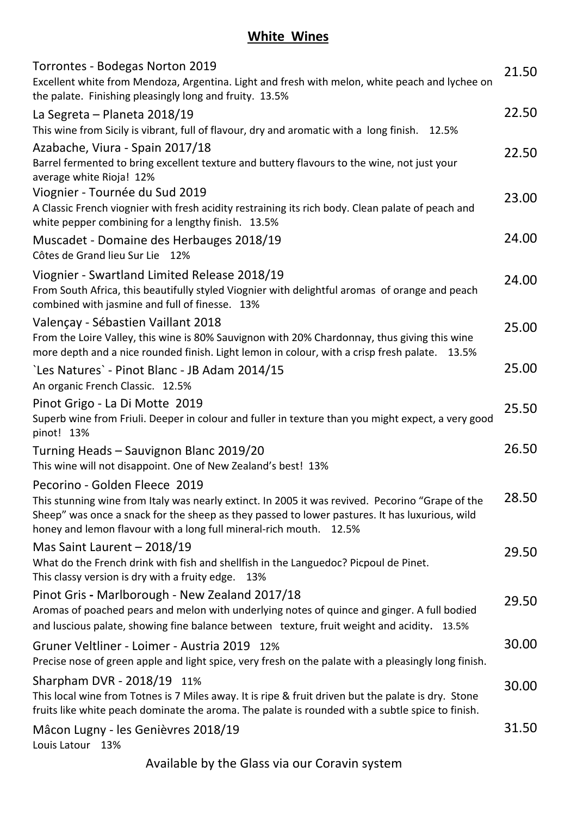## **White Wines**

| Torrontes - Bodegas Norton 2019<br>Excellent white from Mendoza, Argentina. Light and fresh with melon, white peach and lychee on<br>the palate. Finishing pleasingly long and fruity. 13.5%                                                                                                              | 21.50 |
|-----------------------------------------------------------------------------------------------------------------------------------------------------------------------------------------------------------------------------------------------------------------------------------------------------------|-------|
| La Segreta - Planeta 2018/19<br>This wine from Sicily is vibrant, full of flavour, dry and aromatic with a long finish. 12.5%                                                                                                                                                                             | 22.50 |
| Azabache, Viura - Spain 2017/18<br>Barrel fermented to bring excellent texture and buttery flavours to the wine, not just your<br>average white Rioja! 12%                                                                                                                                                | 22.50 |
| Viognier - Tournée du Sud 2019<br>A Classic French viognier with fresh acidity restraining its rich body. Clean palate of peach and<br>white pepper combining for a lengthy finish. 13.5%                                                                                                                 | 23.00 |
| Muscadet - Domaine des Herbauges 2018/19<br>Côtes de Grand lieu Sur Lie 12%                                                                                                                                                                                                                               | 24.00 |
| Viognier - Swartland Limited Release 2018/19<br>From South Africa, this beautifully styled Viognier with delightful aromas of orange and peach<br>combined with jasmine and full of finesse. 13%                                                                                                          | 24.00 |
| Valençay - Sébastien Vaillant 2018<br>From the Loire Valley, this wine is 80% Sauvignon with 20% Chardonnay, thus giving this wine<br>more depth and a nice rounded finish. Light lemon in colour, with a crisp fresh palate. 13.5%                                                                       | 25.00 |
| `Les Natures` - Pinot Blanc - JB Adam 2014/15<br>An organic French Classic. 12.5%                                                                                                                                                                                                                         | 25.00 |
| Pinot Grigo - La Di Motte 2019<br>Superb wine from Friuli. Deeper in colour and fuller in texture than you might expect, a very good<br>pinot! 13%                                                                                                                                                        | 25.50 |
| Turning Heads - Sauvignon Blanc 2019/20<br>This wine will not disappoint. One of New Zealand's best! 13%                                                                                                                                                                                                  | 26.50 |
| Pecorino - Golden Fleece 2019<br>This stunning wine from Italy was nearly extinct. In 2005 it was revived. Pecorino "Grape of the<br>Sheep" was once a snack for the sheep as they passed to lower pastures. It has luxurious, wild<br>honey and lemon flavour with a long full mineral-rich mouth. 12.5% | 28.50 |
| Mas Saint Laurent - 2018/19<br>What do the French drink with fish and shellfish in the Languedoc? Picpoul de Pinet.<br>This classy version is dry with a fruity edge. 13%                                                                                                                                 | 29.50 |
| Pinot Gris - Marlborough - New Zealand 2017/18<br>Aromas of poached pears and melon with underlying notes of quince and ginger. A full bodied<br>and luscious palate, showing fine balance between texture, fruit weight and acidity. 13.5%                                                               | 29.50 |
| Gruner Veltliner - Loimer - Austria 2019 12%<br>Precise nose of green apple and light spice, very fresh on the palate with a pleasingly long finish.                                                                                                                                                      | 30.00 |
| Sharpham DVR - 2018/19 11%<br>This local wine from Totnes is 7 Miles away. It is ripe & fruit driven but the palate is dry. Stone<br>fruits like white peach dominate the aroma. The palate is rounded with a subtle spice to finish.                                                                     | 30.00 |
| Mâcon Lugny - les Genièvres 2018/19<br>Louis Latour 13%                                                                                                                                                                                                                                                   | 31.50 |

Available by the Glass via our Coravin system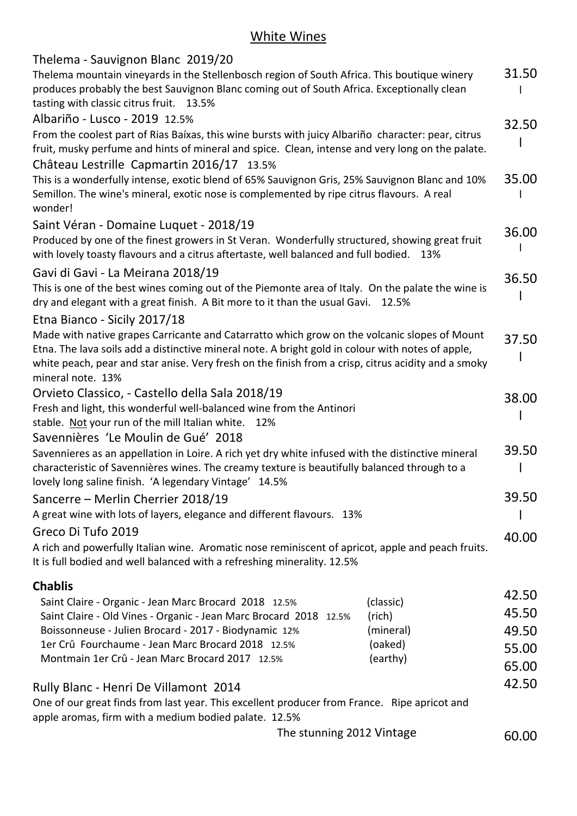## White Wines

| Thelema - Sauvignon Blanc 2019/20                                                                                                                                                         |           |       |
|-------------------------------------------------------------------------------------------------------------------------------------------------------------------------------------------|-----------|-------|
| Thelema mountain vineyards in the Stellenbosch region of South Africa. This boutique winery<br>produces probably the best Sauvignon Blanc coming out of South Africa. Exceptionally clean |           | 31.50 |
| tasting with classic citrus fruit. 13.5%                                                                                                                                                  |           |       |
| Albariño - Lusco - 2019 12.5%                                                                                                                                                             |           | 32.50 |
| From the coolest part of Rias Baíxas, this wine bursts with juicy Albariño character: pear, citrus                                                                                        |           |       |
| fruit, musky perfume and hints of mineral and spice. Clean, intense and very long on the palate.                                                                                          |           |       |
| Château Lestrille Capmartin 2016/17 13.5%                                                                                                                                                 |           |       |
| This is a wonderfully intense, exotic blend of 65% Sauvignon Gris, 25% Sauvignon Blanc and 10%                                                                                            |           | 35.00 |
| Semillon. The wine's mineral, exotic nose is complemented by ripe citrus flavours. A real                                                                                                 |           |       |
| wonder!                                                                                                                                                                                   |           |       |
| Saint Véran - Domaine Luquet - 2018/19                                                                                                                                                    |           |       |
| Produced by one of the finest growers in St Veran. Wonderfully structured, showing great fruit                                                                                            |           | 36.00 |
| with lovely toasty flavours and a citrus aftertaste, well balanced and full bodied.                                                                                                       | 13%       |       |
| Gavi di Gavi - La Meirana 2018/19                                                                                                                                                         |           |       |
| This is one of the best wines coming out of the Piemonte area of Italy. On the palate the wine is                                                                                         |           | 36.50 |
| dry and elegant with a great finish. A Bit more to it than the usual Gavi.                                                                                                                | 12.5%     |       |
| Etna Bianco - Sicily 2017/18                                                                                                                                                              |           |       |
| Made with native grapes Carricante and Catarratto which grow on the volcanic slopes of Mount                                                                                              |           |       |
| Etna. The lava soils add a distinctive mineral note. A bright gold in colour with notes of apple,                                                                                         |           | 37.50 |
| white peach, pear and star anise. Very fresh on the finish from a crisp, citrus acidity and a smoky                                                                                       |           |       |
| mineral note. 13%                                                                                                                                                                         |           |       |
| Orvieto Classico, - Castello della Sala 2018/19                                                                                                                                           |           |       |
| Fresh and light, this wonderful well-balanced wine from the Antinori                                                                                                                      |           | 38.00 |
| stable. Not your run of the mill Italian white.<br>12%                                                                                                                                    |           |       |
| Savennières 'Le Moulin de Gué' 2018                                                                                                                                                       |           |       |
| Savennieres as an appellation in Loire. A rich yet dry white infused with the distinctive mineral                                                                                         |           | 39.50 |
| characteristic of Savennières wines. The creamy texture is beautifully balanced through to a                                                                                              |           |       |
| lovely long saline finish. 'A legendary Vintage' 14.5%                                                                                                                                    |           |       |
| Sancerre – Merlin Cherrier 2018/19                                                                                                                                                        |           | 39.50 |
| A great wine with lots of layers, elegance and different flavours. 13%                                                                                                                    |           |       |
|                                                                                                                                                                                           |           |       |
| Greco Di Tufo 2019                                                                                                                                                                        |           | 40.00 |
| A rich and powerfully Italian wine. Aromatic nose reminiscent of apricot, apple and peach fruits.                                                                                         |           |       |
| It is full bodied and well balanced with a refreshing minerality. 12.5%                                                                                                                   |           |       |
| <b>Chablis</b>                                                                                                                                                                            |           |       |
| Saint Claire - Organic - Jean Marc Brocard 2018 12.5%                                                                                                                                     | (classic) | 42.50 |
| Saint Claire - Old Vines - Organic - Jean Marc Brocard 2018 12.5%                                                                                                                         | (rich)    | 45.50 |
| Boissonneuse - Julien Brocard - 2017 - Biodynamic 12%                                                                                                                                     | (mineral) | 49.50 |
| 1er Crû Fourchaume - Jean Marc Brocard 2018 12.5%                                                                                                                                         | (oaked)   | 55.00 |
| Montmain 1er Crû - Jean Marc Brocard 2017 12.5%                                                                                                                                           | (earthy)  | 65.00 |
|                                                                                                                                                                                           |           |       |
| Rully Blanc - Henri De Villamont 2014                                                                                                                                                     |           | 42.50 |
| One of our great finds from last year. This excellent producer from France. Ripe apricot and<br>apple aromas, firm with a medium bodied palate. 12.5%                                     |           |       |
| The stunning 2012 Vintage                                                                                                                                                                 |           | 60.00 |
|                                                                                                                                                                                           |           |       |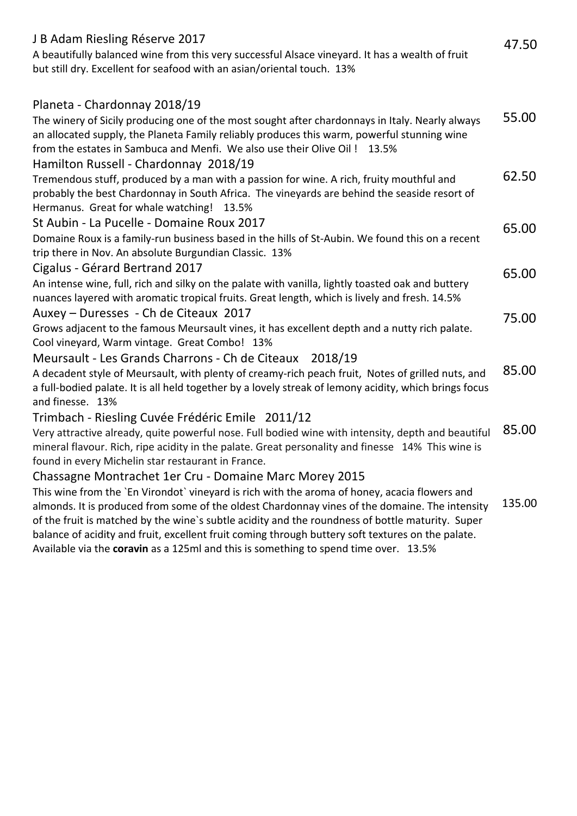| J B Adam Riesling Réserve 2017<br>A beautifully balanced wine from this very successful Alsace vineyard. It has a wealth of fruit<br>but still dry. Excellent for seafood with an asian/oriental touch. 13%                                                                                                                                                                                                                                                                                                                                                | 47.50  |
|------------------------------------------------------------------------------------------------------------------------------------------------------------------------------------------------------------------------------------------------------------------------------------------------------------------------------------------------------------------------------------------------------------------------------------------------------------------------------------------------------------------------------------------------------------|--------|
| Planeta - Chardonnay 2018/19<br>The winery of Sicily producing one of the most sought after chardonnays in Italy. Nearly always<br>an allocated supply, the Planeta Family reliably produces this warm, powerful stunning wine<br>from the estates in Sambuca and Menfi. We also use their Olive Oil ! 13.5%                                                                                                                                                                                                                                               | 55.00  |
| Hamilton Russell - Chardonnay 2018/19<br>Tremendous stuff, produced by a man with a passion for wine. A rich, fruity mouthful and<br>probably the best Chardonnay in South Africa. The vineyards are behind the seaside resort of<br>Hermanus. Great for whale watching! 13.5%                                                                                                                                                                                                                                                                             | 62.50  |
| St Aubin - La Pucelle - Domaine Roux 2017<br>Domaine Roux is a family-run business based in the hills of St-Aubin. We found this on a recent<br>trip there in Nov. An absolute Burgundian Classic. 13%                                                                                                                                                                                                                                                                                                                                                     | 65.00  |
| Cigalus - Gérard Bertrand 2017<br>An intense wine, full, rich and silky on the palate with vanilla, lightly toasted oak and buttery<br>nuances layered with aromatic tropical fruits. Great length, which is lively and fresh. 14.5%                                                                                                                                                                                                                                                                                                                       | 65.00  |
| Auxey - Duresses - Ch de Citeaux 2017<br>Grows adjacent to the famous Meursault vines, it has excellent depth and a nutty rich palate.<br>Cool vineyard, Warm vintage. Great Combo! 13%                                                                                                                                                                                                                                                                                                                                                                    | 75.00  |
| Meursault - Les Grands Charrons - Ch de Citeaux 2018/19<br>A decadent style of Meursault, with plenty of creamy-rich peach fruit, Notes of grilled nuts, and<br>a full-bodied palate. It is all held together by a lovely streak of lemony acidity, which brings focus<br>and finesse. 13%                                                                                                                                                                                                                                                                 | 85.00  |
| Trimbach - Riesling Cuvée Frédéric Emile 2011/12<br>Very attractive already, quite powerful nose. Full bodied wine with intensity, depth and beautiful<br>mineral flavour. Rich, ripe acidity in the palate. Great personality and finesse 14% This wine is<br>found in every Michelin star restaurant in France.                                                                                                                                                                                                                                          | 85.00  |
| Chassagne Montrachet 1er Cru - Domaine Marc Morey 2015<br>This wine from the `En Virondot` vineyard is rich with the aroma of honey, acacia flowers and<br>almonds. It is produced from some of the oldest Chardonnay vines of the domaine. The intensity<br>of the fruit is matched by the wine's subtle acidity and the roundness of bottle maturity. Super<br>balance of acidity and fruit, excellent fruit coming through buttery soft textures on the palate.<br>Available via the coravin as a 125ml and this is something to spend time over. 13.5% | 135.00 |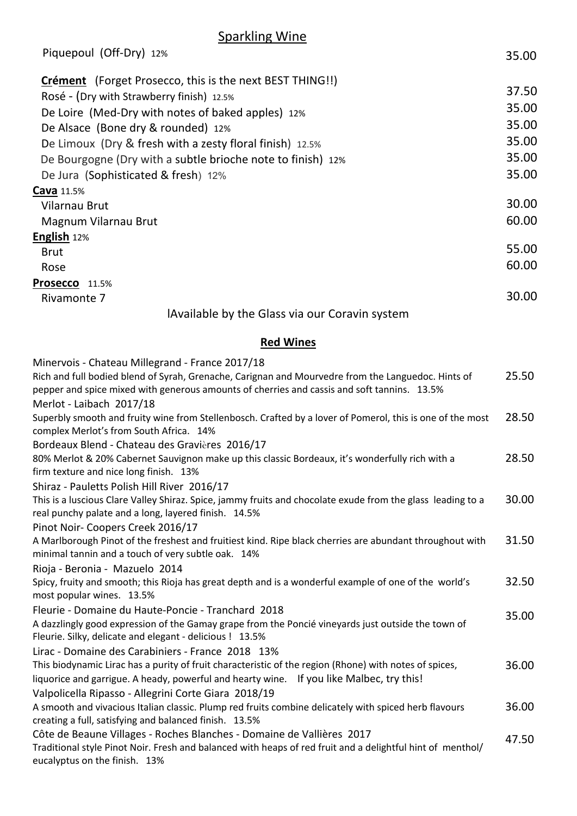| <b>Sparkling Wine</b> |
|-----------------------|
|-----------------------|

| Piquepoul (Off-Dry) 12%                                         | 35.00 |
|-----------------------------------------------------------------|-------|
| <b>Crément</b> (Forget Prosecco, this is the next BEST THING!!) |       |
| Rosé - (Dry with Strawberry finish) 12.5%                       | 37.50 |
| De Loire (Med-Dry with notes of baked apples) 12%               | 35.00 |
| De Alsace (Bone dry & rounded) 12%                              | 35.00 |
| De Limoux (Dry & fresh with a zesty floral finish) 12.5%        | 35.00 |
| De Bourgogne (Dry with a subtle brioche note to finish) 12%     | 35.00 |
| De Jura (Sophisticated & fresh) 12%                             | 35.00 |
| <b>Cava</b> 11.5%                                               |       |
| Vilarnau Brut                                                   | 30.00 |
| Magnum Vilarnau Brut                                            | 60.00 |
| <b>English</b> 12%                                              |       |
| <b>Brut</b>                                                     | 55.00 |
| Rose                                                            | 60.00 |
| Prosecco 11.5%                                                  |       |
| Rivamonte 7                                                     | 30.00 |
| Available by the Glass via our Coravin system                   |       |

#### **Red Wines**

| Minervois - Chateau Millegrand - France 2017/18                                                                                                                                                   |       |
|---------------------------------------------------------------------------------------------------------------------------------------------------------------------------------------------------|-------|
| Rich and full bodied blend of Syrah, Grenache, Carignan and Mourvedre from the Languedoc. Hints of<br>pepper and spice mixed with generous amounts of cherries and cassis and soft tannins. 13.5% | 25.50 |
| Merlot - Laibach 2017/18                                                                                                                                                                          |       |
| Superbly smooth and fruity wine from Stellenbosch. Crafted by a lover of Pomerol, this is one of the most<br>complex Merlot's from South Africa. 14%                                              | 28.50 |
| Bordeaux Blend - Chateau des Gravières 2016/17                                                                                                                                                    |       |
| 80% Merlot & 20% Cabernet Sauvignon make up this classic Bordeaux, it's wonderfully rich with a<br>firm texture and nice long finish. 13%                                                         | 28.50 |
| Shiraz - Pauletts Polish Hill River 2016/17                                                                                                                                                       |       |
| This is a luscious Clare Valley Shiraz. Spice, jammy fruits and chocolate exude from the glass leading to a<br>real punchy palate and a long, layered finish. 14.5%                               | 30.00 |
| Pinot Noir- Coopers Creek 2016/17                                                                                                                                                                 |       |
| A Marlborough Pinot of the freshest and fruitiest kind. Ripe black cherries are abundant throughout with                                                                                          | 31.50 |
| minimal tannin and a touch of very subtle oak. 14%                                                                                                                                                |       |
| Rioja - Beronia - Mazuelo 2014                                                                                                                                                                    |       |
| Spicy, fruity and smooth; this Rioja has great depth and is a wonderful example of one of the world's<br>most popular wines. 13.5%                                                                | 32.50 |
| Fleurie - Domaine du Haute-Poncie - Tranchard 2018                                                                                                                                                |       |
| A dazzlingly good expression of the Gamay grape from the Poncié vineyards just outside the town of                                                                                                | 35.00 |
| Fleurie. Silky, delicate and elegant - delicious ! 13.5%                                                                                                                                          |       |
| Lirac - Domaine des Carabiniers - France 2018 13%                                                                                                                                                 |       |
| This biodynamic Lirac has a purity of fruit characteristic of the region (Rhone) with notes of spices,                                                                                            | 36.00 |
| liquorice and garrigue. A heady, powerful and hearty wine. If you like Malbec, try this!                                                                                                          |       |
| Valpolicella Ripasso - Allegrini Corte Giara 2018/19                                                                                                                                              |       |
| A smooth and vivacious Italian classic. Plump red fruits combine delicately with spiced herb flavours                                                                                             | 36.00 |
| creating a full, satisfying and balanced finish. 13.5%                                                                                                                                            |       |
| Côte de Beaune Villages - Roches Blanches - Domaine de Vallières 2017                                                                                                                             | 47.50 |
| Traditional style Pinot Noir. Fresh and balanced with heaps of red fruit and a delightful hint of menthol/                                                                                        |       |
| eucalyptus on the finish. 13%                                                                                                                                                                     |       |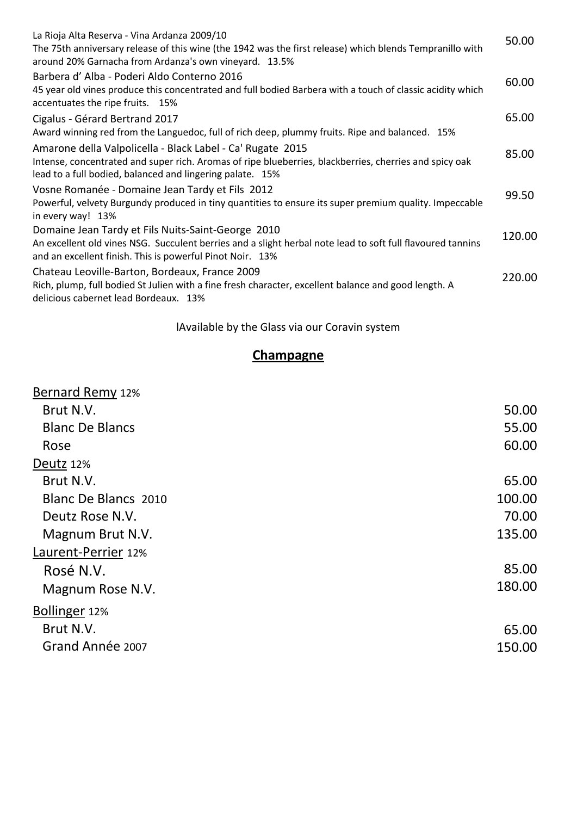| La Rioja Alta Reserva - Vina Ardanza 2009/10<br>The 75th anniversary release of this wine (the 1942 was the first release) which blends Tempranillo with<br>around 20% Garnacha from Ardanza's own vineyard. 13.5%                | 50.00  |
|-----------------------------------------------------------------------------------------------------------------------------------------------------------------------------------------------------------------------------------|--------|
| Barbera d'Alba - Poderi Aldo Conterno 2016<br>45 year old vines produce this concentrated and full bodied Barbera with a touch of classic acidity which<br>accentuates the ripe fruits. 15%                                       | 60.00  |
| Cigalus - Gérard Bertrand 2017<br>Award winning red from the Languedoc, full of rich deep, plummy fruits. Ripe and balanced. 15%                                                                                                  | 65.00  |
| Amarone della Valpolicella - Black Label - Ca' Rugate 2015<br>Intense, concentrated and super rich. Aromas of ripe blueberries, blackberries, cherries and spicy oak<br>lead to a full bodied, balanced and lingering palate. 15% | 85.00  |
| Vosne Romanée - Domaine Jean Tardy et Fils 2012<br>Powerful, velvety Burgundy produced in tiny quantities to ensure its super premium quality. Impeccable<br>in every way! 13%                                                    | 99.50  |
| Domaine Jean Tardy et Fils Nuits-Saint-George 2010<br>An excellent old vines NSG. Succulent berries and a slight herbal note lead to soft full flavoured tannins<br>and an excellent finish. This is powerful Pinot Noir. 13%     | 120.00 |
| Chateau Leoville-Barton, Bordeaux, France 2009<br>Rich, plump, full bodied St Julien with a fine fresh character, excellent balance and good length. A<br>delicious cabernet lead Bordeaux. 13%                                   | 220.00 |

lAvailable by the Glass via our Coravin system

## **Champagne**

| 50.00  |
|--------|
| 55.00  |
| 60.00  |
|        |
| 65.00  |
| 100.00 |
| 70.00  |
| 135.00 |
|        |
| 85.00  |
| 180.00 |
|        |
| 65.00  |
| 150.00 |
|        |